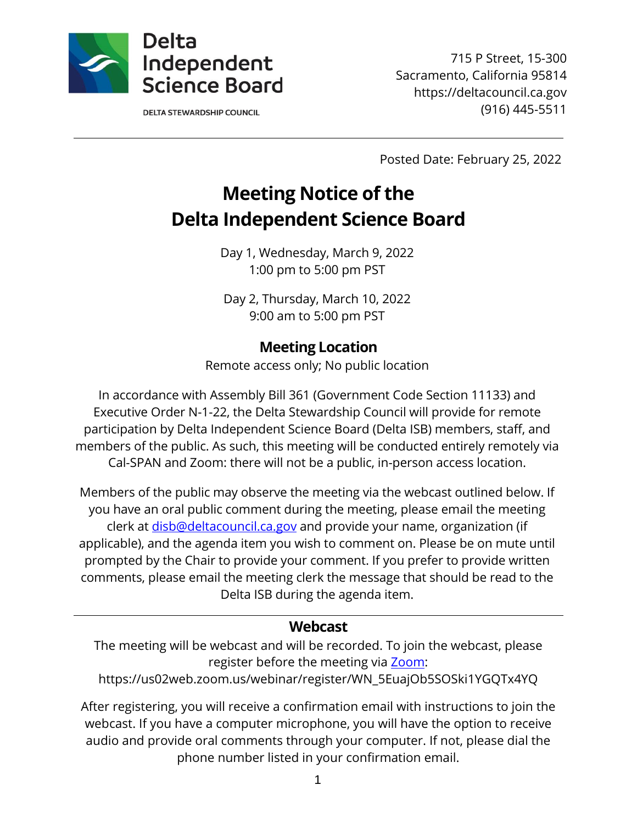

**DELTA STEWARDSHIP COUNCIL** 

715 P Street, 15-300 Sacramento, California 95814 https://deltacouncil.ca.gov (916) 445-5511

Posted Date: February 25, 2022

# **Meeting Notice of the Delta Independent Science Board**

Day 1, Wednesday, March 9, 2022 1:00 pm to 5:00 pm PST

Day 2, Thursday, March 10, 2022 9:00 am to 5:00 pm PST

### **Meeting Location**

Remote access only; No public location

In accordance with Assembly Bill 361 (Government Code Section 11133) and Executive Order N-1-22, the Delta Stewardship Council will provide for remote participation by Delta Independent Science Board (Delta ISB) members, staff, and members of the public. As such, this meeting will be conducted entirely remotely via Cal-SPAN and Zoom: there will not be a public, in-person access location.

Members of the public may observe the meeting via the webcast outlined below. If you have an oral public comment during the meeting, please email the meeting clerk at [disb@deltacouncil.ca.gov](mailto:disb@deltacouncil.ca.gov) and provide your name, organization (if applicable), and the agenda item you wish to comment on. Please be on mute until prompted by the Chair to provide your comment. If you prefer to provide written comments, please email the meeting clerk the message that should be read to the Delta ISB during the agenda item.

#### **Webcast**

The meeting will be webcast and will be recorded. To join the webcast, please register before the meeting via [Zoom:](https://us02web.zoom.us/webinar/register/WN_5EuajOb5SOSki1YGQTx4YQ)

https://us02web.zoom.us/webinar/register/WN\_5EuajOb5SOSki1YGQTx4YQ

After registering, you will receive a confirmation email with instructions to join the webcast. If you have a computer microphone, you will have the option to receive audio and provide oral comments through your computer. If not, please dial the phone number listed in your confirmation email.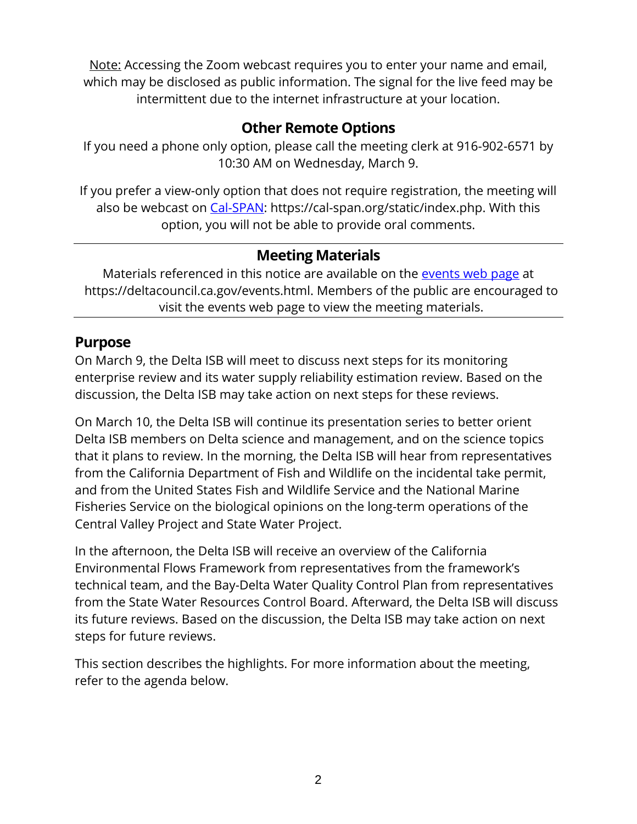Note: Accessing the Zoom webcast requires you to enter your name and email, which may be disclosed as public information. The signal for the live feed may be intermittent due to the internet infrastructure at your location.

# **Other Remote Options**

If you need a phone only option, please call the meeting clerk at 916-902-6571 by 10:30 AM on Wednesday, March 9.

If you prefer a view-only option that does not require registration, the meeting will also be webcast on [Cal-SPAN:](https://cal-span.org/static/index.php) https://cal-span.org/static/index.php. With this option, you will not be able to provide oral comments.

## **Meeting Materials**

Materials referenced in this notice are available on the [events web page](https://deltacouncil.ca.gov/events.html) at https://deltacouncil.ca.gov/events.html. Members of the public are encouraged to visit the events web page to view the meeting materials.

### **Purpose**

On March 9, the Delta ISB will meet to discuss next steps for its monitoring enterprise review and its water supply reliability estimation review. Based on the discussion, the Delta ISB may take action on next steps for these reviews.

On March 10, the Delta ISB will continue its presentation series to better orient Delta ISB members on Delta science and management, and on the science topics that it plans to review. In the morning, the Delta ISB will hear from representatives from the California Department of Fish and Wildlife on the incidental take permit, and from the United States Fish and Wildlife Service and the National Marine Fisheries Service on the biological opinions on the long-term operations of the Central Valley Project and State Water Project.

In the afternoon, the Delta ISB will receive an overview of the California Environmental Flows Framework from representatives from the framework's technical team, and the Bay-Delta Water Quality Control Plan from representatives from the State Water Resources Control Board. Afterward, the Delta ISB will discuss its future reviews. Based on the discussion, the Delta ISB may take action on next steps for future reviews.

This section describes the highlights. For more information about the meeting, refer to the agenda below.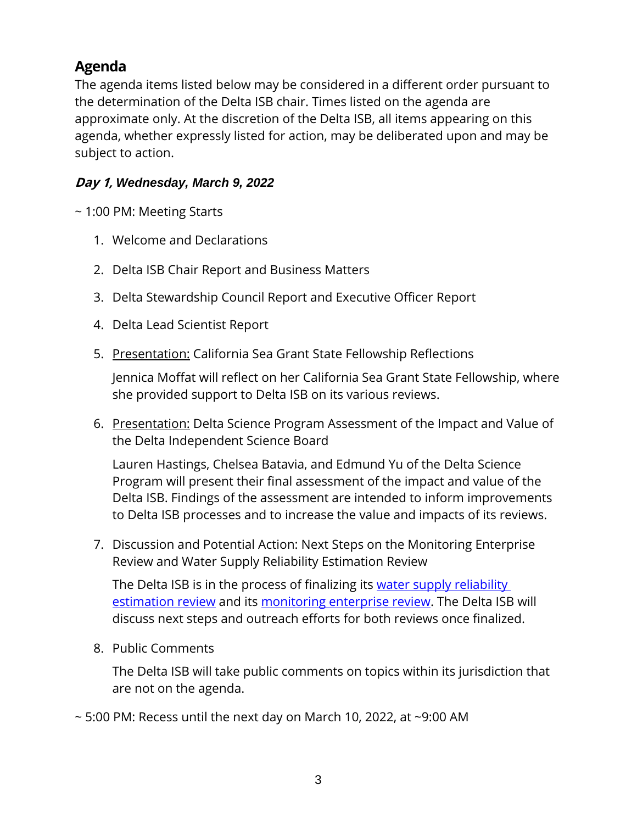# **Agenda**

The agenda items listed below may be considered in a different order pursuant to the determination of the Delta ISB chair. Times listed on the agenda are approximate only. At the discretion of the Delta ISB, all items appearing on this agenda, whether expressly listed for action, may be deliberated upon and may be subject to action.

#### **Day 1,** *Wednesday, March 9, 2022*

~ 1:00 PM: Meeting Starts

- 1. Welcome and Declarations
- 2. Delta ISB Chair Report and Business Matters
- 3. Delta Stewardship Council Report and Executive Officer Report
- 4. Delta Lead Scientist Report
- 5. Presentation: California Sea Grant State Fellowship Reflections

Jennica Moffat will reflect on her California Sea Grant State Fellowship, where she provided support to Delta ISB on its various reviews.

6. Presentation: Delta Science Program Assessment of the Impact and Value of the Delta Independent Science Board

Lauren Hastings, Chelsea Batavia, and Edmund Yu of the Delta Science Program will present their final assessment of the impact and value of the Delta ISB. Findings of the assessment are intended to inform improvements to Delta ISB processes and to increase the value and impacts of its reviews.

7. Discussion and Potential Action: Next Steps on the Monitoring Enterprise Review and Water Supply Reliability Estimation Review

The Delta ISB is in the process of finalizing its [water supply reliability](https://deltacouncil.ca.gov/pdf/isb/meeting-materials/2022-02-02-isb-draft-water-supply-review.pdf)  [estimation](https://deltacouncil.ca.gov/pdf/isb/meeting-materials/2022-02-02-isb-draft-water-supply-review.pdf) review and its [monitoring enterprise review.](https://deltacouncil.ca.gov/pdf/isb/meeting-materials/2021-10-12-draft-isb-mer-report.pdf) The Delta ISB will discuss next steps and outreach efforts for both reviews once finalized.

8. Public Comments

The Delta ISB will take public comments on topics within its jurisdiction that are not on the agenda.

 $\sim$  5:00 PM: Recess until the next day on March 10, 2022, at  $\sim$ 9:00 AM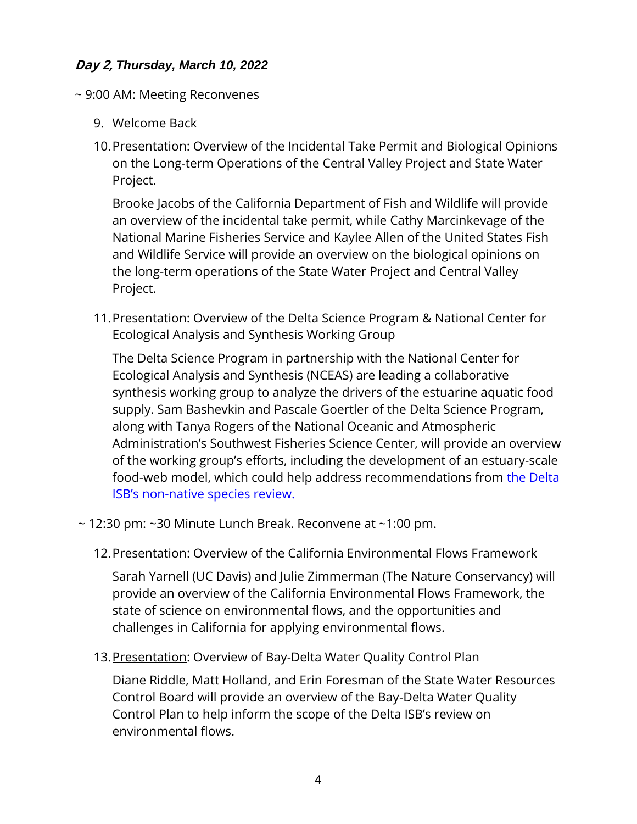#### **Day 2,** *Thursday, March 10, 2022*

- ~ 9:00 AM: Meeting Reconvenes
	- 9. Welcome Back
	- 10. Presentation: Overview of the Incidental Take Permit and Biological Opinions on the Long-term Operations of the Central Valley Project and State Water Project.

Brooke Jacobs of the California Department of Fish and Wildlife will provide an overview of the incidental take permit, while Cathy Marcinkevage of the National Marine Fisheries Service and Kaylee Allen of the United States Fish and Wildlife Service will provide an overview on the biological opinions on the long-term operations of the State Water Project and Central Valley Project.

11.Presentation: Overview of the Delta Science Program & National Center for Ecological Analysis and Synthesis Working Group

The Delta Science Program in partnership with the National Center for Ecological Analysis and Synthesis (NCEAS) are leading a collaborative synthesis working group to analyze the drivers of the estuarine aquatic food supply. Sam Bashevkin and Pascale Goertler of the Delta Science Program, along with Tanya Rogers of the National Oceanic and Atmospheric Administration's Southwest Fisheries Science Center, will provide an overview of the working group's efforts, including the development of an estuary-scale food-web model, which could help address recommendations from the Delta ISB's non[-native species review.](https://deltacouncil.ca.gov/pdf/isb/products/2021-05-21-isb-non-native-species-review.pdf)

- $\sim$  12:30 pm:  $\sim$ 30 Minute Lunch Break. Reconvene at  $\sim$ 1:00 pm.
	- 12.Presentation: Overview of the California Environmental Flows Framework

Sarah Yarnell (UC Davis) and Julie Zimmerman (The Nature Conservancy) will provide an overview of the California Environmental Flows Framework, the state of science on environmental flows, and the opportunities and challenges in California for applying environmental flows.

13. Presentation: Overview of Bay-Delta Water Quality Control Plan

Diane Riddle, Matt Holland, and Erin Foresman of the State Water Resources Control Board will provide an overview of the Bay-Delta Water Quality Control Plan to help inform the scope of the Delta ISB's review on environmental flows.